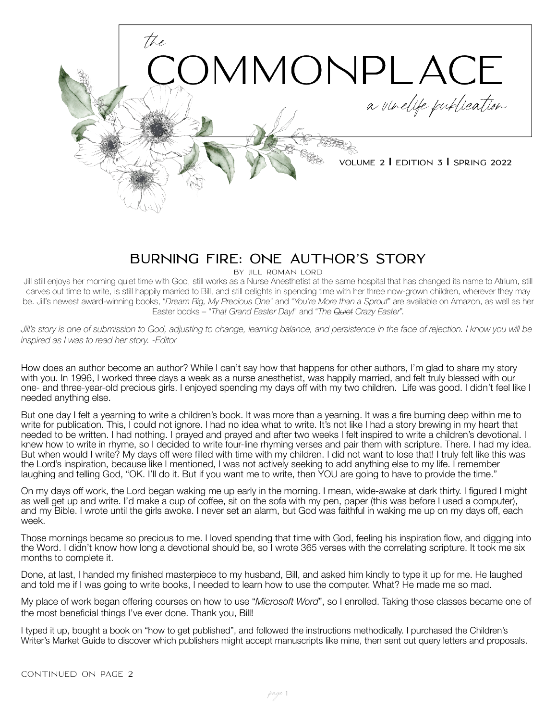

**Volume 2 | Edition 3 | Spring 2022**

# **BURNING FIRE: ONE AUTHOR'S STORY**

BY JILL ROMAN LORD

Jill still enjoys her morning quiet time with God, still works as a Nurse Anesthetist at the same hospital that has changed its name to Atrium, still carves out time to write, is still happily married to Bill, and still delights in spending time with her three now-grown children, wherever they may be. Jill's newest award-winning books, "*Dream Big, My Precious One*" and "*You're More than a Sprout*" are available on Amazon, as well as her Easter books – "*That Grand Easter Day!*" and "*The Quiet Crazy Easter*".

Jill's story is one of submission to God, adjusting to change, learning balance, and persistence in the face of rejection. I know you will be *inspired as I was to read her story. -Editor*

How does an author become an author? While I can't say how that happens for other authors, I'm glad to share my story with you. In 1996, I worked three days a week as a nurse anesthetist, was happily married, and felt truly blessed with our one- and three-year-old precious girls. I enjoyed spending my days off with my two children. Life was good. I didn't feel like I needed anything else.

But one day I felt a yearning to write a children's book. It was more than a yearning. It was a fire burning deep within me to write for publication. This, I could not ignore. I had no idea what to write. It's not like I had a story brewing in my heart that needed to be written. I had nothing. I prayed and prayed and after two weeks I felt inspired to write a children's devotional. I knew how to write in rhyme, so I decided to write four-line rhyming verses and pair them with scripture. There. I had my idea. But when would I write? My days off were filled with time with my children. I did not want to lose that! I truly felt like this was the Lord's inspiration, because like I mentioned, I was not actively seeking to add anything else to my life. I remember laughing and telling God, "OK. I'll do it. But if you want me to write, then YOU are going to have to provide the time."

On my days off work, the Lord began waking me up early in the morning. I mean, wide-awake at dark thirty. I figured I might as well get up and write. I'd make a cup of coffee, sit on the sofa with my pen, paper (this was before I used a computer), and my Bible. I wrote until the girls awoke. I never set an alarm, but God was faithful in waking me up on my days off, each week.

Those mornings became so precious to me. I loved spending that time with God, feeling his inspiration flow, and digging into the Word. I didn't know how long a devotional should be, so I wrote 365 verses with the correlating scripture. It took me six months to complete it.

Done, at last, I handed my finished masterpiece to my husband, Bill, and asked him kindly to type it up for me. He laughed and told me if I was going to write books, I needed to learn how to use the computer. What? He made me so mad.

My place of work began offering courses on how to use "*Microsoft Word*", so I enrolled. Taking those classes became one of the most beneficial things I've ever done. Thank you, Bill!

I typed it up, bought a book on "how to get published", and followed the instructions methodically. I purchased the Children's Writer's Market Guide to discover which publishers might accept manuscripts like mine, then sent out query letters and proposals.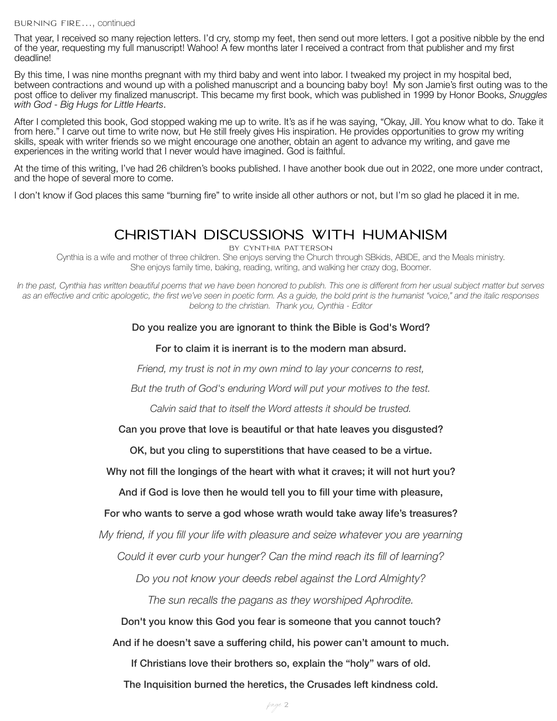That year, I received so many rejection letters. I'd cry, stomp my feet, then send out more letters. I got a positive nibble by the end of the year, requesting my full manuscript! Wahoo! A few months later I received a contract from that publisher and my first deadline!

By this time, I was nine months pregnant with my third baby and went into labor. I tweaked my project in my hospital bed, between contractions and wound up with a polished manuscript and a bouncing baby boy! My son Jamie's first outing was to the post office to deliver my finalized manuscript. This became my first book, which was published in 1999 by Honor Books, *Snuggles with God - Big Hugs for Little Hearts*.

After I completed this book, God stopped waking me up to write. It's as if he was saying, "Okay, Jill. You know what to do. Take it from here." I carve out time to write now, but He still freely gives His inspiration. He provides opportunities to grow my writing skills, speak with writer friends so we might encourage one another, obtain an agent to advance my writing, and gave me experiences in the writing world that I never would have imagined. God is faithful.

At the time of this writing, I've had 26 children's books published. I have another book due out in 2022, one more under contract, and the hope of several more to come.

I don't know if God places this same "burning fire" to write inside all other authors or not, but I'm so glad he placed it in me.

## **CHRISTIAN DISCUSSIONS WITH HUMANISM**

By CYNTHIA PATTERSON Cynthia is a wife and mother of three children. She enjoys serving the Church through SBkids, ABIDE, and the Meals ministry. She enjoys family time, baking, reading, writing, and walking her crazy dog, Boomer.

*In the past, Cynthia has written beautiful poems that we have been honored to publish. This one is different from her usual subject matter but serves as an effective and critic apologetic, the first we've seen in poetic form. As a guide, the bold print is the humanist "voice," and the italic responses belong to the christian. Thank you, Cynthia - Editor*

#### Do you realize you are ignorant to think the Bible is God's Word?

#### For to claim it is inerrant is to the modern man absurd.

*Friend, my trust is not in my own mind to lay your concerns to rest,*

*But the truth of God's enduring Word will put your motives to the test.*

*Calvin said that to itself the Word attests it should be trusted.*

#### Can you prove that love is beautiful or that hate leaves you disgusted?

OK, but you cling to superstitions that have ceased to be a virtue.

Why not fill the longings of the heart with what it craves; it will not hurt you?

And if God is love then he would tell you to fill your time with pleasure,

#### For who wants to serve a god whose wrath would take away life's treasures?

*My friend, if you fill your life with pleasure and seize whatever you are yearning*

*Could it ever curb your hunger? Can the mind reach its fill of learning?*

*Do you not know your deeds rebel against the Lord Almighty?*

*The sun recalls the pagans as they worshiped Aphrodite.*

Don't you know this God you fear is someone that you cannot touch?

And if he doesn't save a suffering child, his power can't amount to much.

If Christians love their brothers so, explain the "holy" wars of old.

The Inquisition burned the heretics, the Crusades left kindness cold.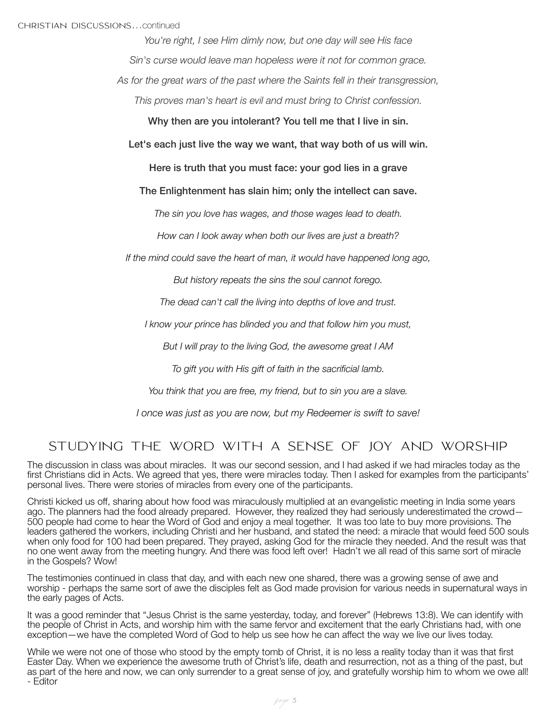*You're right, I see Him dimly now, but one day will see His face Sin's curse would leave man hopeless were it not for common grace.*

*As for the great wars of the past where the Saints fell in their transgression,*

*This proves man's heart is evil and must bring to Christ confession.*

Why then are you intolerant? You tell me that I live in sin.

Let's each just live the way we want, that way both of us will win.

Here is truth that you must face: your god lies in a grave

The Enlightenment has slain him; only the intellect can save.

*The sin you love has wages, and those wages lead to death.*

*How can I look away when both our lives are just a breath?*

*If the mind could save the heart of man, it would have happened long ago,*

*But history repeats the sins the soul cannot forego.*

*The dead can't call the living into depths of love and trust.*

*I know your prince has blinded you and that follow him you must,*

*But I will pray to the living God, the awesome great I AM*

*To gift you with His gift of faith in the sacrificial lamb.*

*You think that you are free, my friend, but to sin you are a slave.*

*I once was just as you are now, but my Redeemer is swift to save!* 

### STUDYING THE WORD WITH A SENSE OF JOY AND WORSHIP

The discussion in class was about miracles. It was our second session, and I had asked if we had miracles today as the first Christians did in Acts. We agreed that yes, there were miracles today. Then I asked for examples from the participants' personal lives. There were stories of miracles from every one of the participants.

Christi kicked us off, sharing about how food was miraculously multiplied at an evangelistic meeting in India some years ago. The planners had the food already prepared. However, they realized they had seriously underestimated the crowd— 500 people had come to hear the Word of God and enjoy a meal together. It was too late to buy more provisions. The leaders gathered the workers, including Christi and her husband, and stated the need: a miracle that would feed 500 souls when only food for 100 had been prepared. They prayed, asking God for the miracle they needed. And the result was that no one went away from the meeting hungry. And there was food left over! Hadn't we all read of this same sort of miracle in the Gospels? Wow!

The testimonies continued in class that day, and with each new one shared, there was a growing sense of awe and worship - perhaps the same sort of awe the disciples felt as God made provision for various needs in supernatural ways in the early pages of Acts.

It was a good reminder that "Jesus Christ is the same yesterday, today, and forever" (Hebrews 13:8). We can identify with the people of Christ in Acts, and worship him with the same fervor and excitement that the early Christians had, with one exception—we have the completed Word of God to help us see how he can affect the way we live our lives today.

While we were not one of those who stood by the empty tomb of Christ, it is no less a reality today than it was that first Easter Day. When we experience the awesome truth of Christ's life, death and resurrection, not as a thing of the past, but as part of the here and now, we can only surrender to a great sense of joy, and gratefully worship him to whom we owe all! - Editor